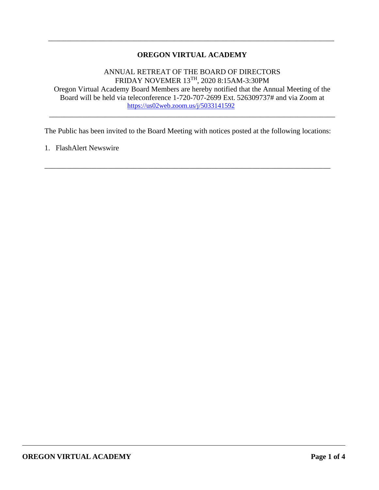# **OREGON VIRTUAL ACADEMY**

\_\_\_\_\_\_\_\_\_\_\_\_\_\_\_\_\_\_\_\_\_\_\_\_\_\_\_\_\_\_\_\_\_\_\_\_\_\_\_\_\_\_\_\_\_\_\_\_\_\_\_\_\_\_\_\_\_\_\_\_\_\_\_\_\_\_\_\_\_\_\_\_\_\_\_\_\_

## ANNUAL RETREAT OF THE BOARD OF DIRECTORS FRIDAY NOVEMER 13TH, 2020 8:15AM-3:30PM Oregon Virtual Academy Board Members are hereby notified that the Annual Meeting of the Board will be held via teleconference 1-720-707-2699 Ext. 526309737# and via Zoom at https://us02web.zoom.us/j/5033141592

\_\_\_\_\_\_\_\_\_\_\_\_\_\_\_\_\_\_\_\_\_\_\_\_\_\_\_\_\_\_\_\_\_\_\_\_\_\_\_\_\_\_\_\_\_\_\_\_\_\_\_\_\_\_\_\_\_\_\_\_\_\_\_\_\_\_\_\_\_\_\_\_\_\_\_\_\_

The Public has been invited to the Board Meeting with notices posted at the following locations:

\_\_\_\_\_\_\_\_\_\_\_\_\_\_\_\_\_\_\_\_\_\_\_\_\_\_\_\_\_\_\_\_\_\_\_\_\_\_\_\_\_\_\_\_\_\_\_\_\_\_\_\_\_\_\_\_\_\_\_\_\_\_\_\_\_\_\_\_\_\_\_\_\_\_\_\_\_

1. FlashAlert Newswire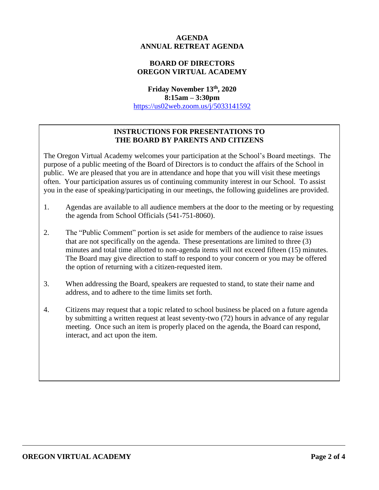## **AGENDA ANNUAL RETREAT AGENDA**

# **BOARD OF DIRECTORS OREGON VIRTUAL ACADEMY**

**Friday November 13th, 2020 8:15am – 3:30pm** https://us02web.zoom.us/j/5033141592

## **INSTRUCTIONS FOR PRESENTATIONS TO THE BOARD BY PARENTS AND CITIZENS**

The Oregon Virtual Academy welcomes your participation at the School's Board meetings. The purpose of a public meeting of the Board of Directors is to conduct the affairs of the School in public. We are pleased that you are in attendance and hope that you will visit these meetings often. Your participation assures us of continuing community interest in our School. To assist you in the ease of speaking/participating in our meetings, the following guidelines are provided.

- 1. Agendas are available to all audience members at the door to the meeting or by requesting the agenda from School Officials (541-751-8060).
- 2. The "Public Comment" portion is set aside for members of the audience to raise issues that are not specifically on the agenda. These presentations are limited to three (3) minutes and total time allotted to non-agenda items will not exceed fifteen (15) minutes. The Board may give direction to staff to respond to your concern or you may be offered the option of returning with a citizen-requested item.
- 3. When addressing the Board, speakers are requested to stand, to state their name and address, and to adhere to the time limits set forth.
- 4. Citizens may request that a topic related to school business be placed on a future agenda by submitting a written request at least seventy-two (72) hours in advance of any regular meeting. Once such an item is properly placed on the agenda, the Board can respond, interact, and act upon the item.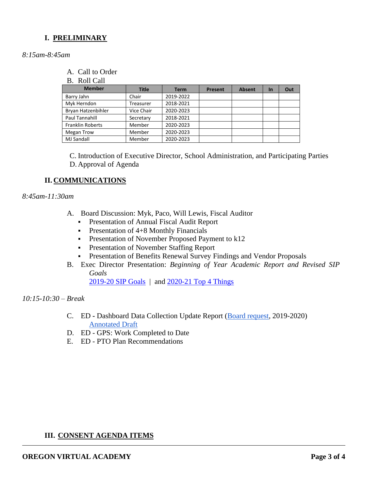# **I. PRELIMINARY**

### *8:15am-8:45am*

- A. Call to Order
- B. Roll Call

| <b>Member</b>           | <b>Title</b> | <b>Term</b> | Present | <b>Absent</b> | <b>In</b> | Out |
|-------------------------|--------------|-------------|---------|---------------|-----------|-----|
| Barry Jahn              | Chair        | 2019-2022   |         |               |           |     |
| Myk Herndon             | Treasurer    | 2018-2021   |         |               |           |     |
| Bryan Hatzenbihler      | Vice Chair   | 2020-2023   |         |               |           |     |
| Paul Tannahill          | Secretary    | 2018-2021   |         |               |           |     |
| <b>Franklin Roberts</b> | Member       | 2020-2023   |         |               |           |     |
| Megan Trow              | Member       | 2020-2023   |         |               |           |     |
| <b>MJ Sandall</b>       | Member       | 2020-2023   |         |               |           |     |

C. Introduction of Executive Director, School Administration, and Participating Parties D. Approval of Agenda

# **II. COMMUNICATIONS**

#### *8:45am-11:30am*

- A. Board Discussion: Myk, Paco, Will Lewis, Fiscal Auditor
	- **Presentation of Annual Fiscal Audit Report**
	- **•** Presentation of  $4+8$  Monthly Financials
	- **Presentation of November Proposed Payment to k12**
	- **Presentation of November Staffing Report**
	- **Presentation of Benefits Renewal Survey Findings and Vendor Proposals**
- B. Exec Director Presentation: *Beginning of Year Academic Report and Revised SIP Goals*

2019-20 SIP Goals | and 2020-21 Top 4 Things

#### *10:15-10:30 – Break*

- C. ED **-** Dashboard Data Collection Update Report (Board request, 2019-2020) Annotated Draft
- D. ED GPS: Work Completed to Date
- E. ED PTO Plan Recommendations

# **III. CONSENT AGENDA ITEMS**